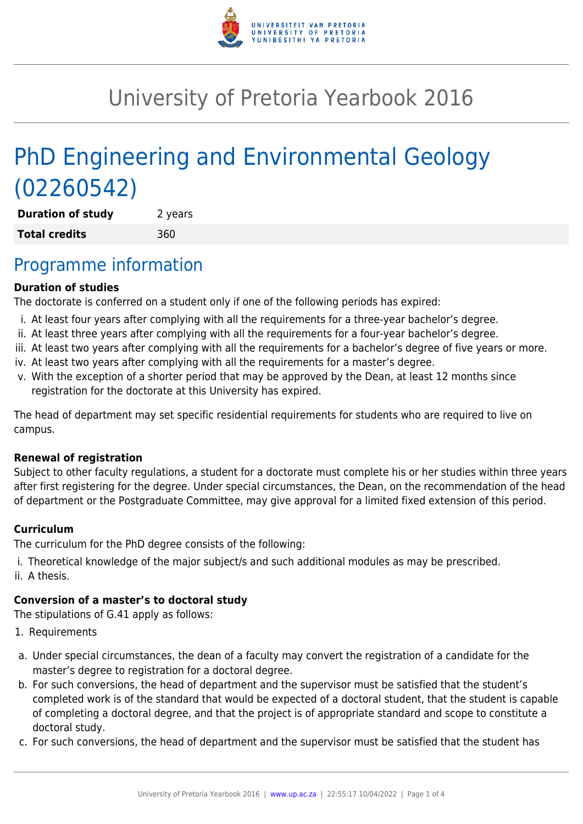

# University of Pretoria Yearbook 2016

# PhD Engineering and Environmental Geology (02260542)

**Duration of study** 2 years **Total credits** 360

### Programme information

#### **Duration of studies**

The doctorate is conferred on a student only if one of the following periods has expired:

- i. At least four years after complying with all the requirements for a three-year bachelor's degree.
- ii. At least three years after complying with all the requirements for a four-year bachelor's degree.
- iii. At least two years after complying with all the requirements for a bachelor's degree of five years or more.
- iv. At least two years after complying with all the requirements for a master's degree.
- v. With the exception of a shorter period that may be approved by the Dean, at least 12 months since registration for the doctorate at this University has expired.

The head of department may set specific residential requirements for students who are required to live on campus.

#### **Renewal of registration**

Subject to other faculty regulations, a student for a doctorate must complete his or her studies within three years after first registering for the degree. Under special circumstances, the Dean, on the recommendation of the head of department or the Postgraduate Committee, may give approval for a limited fixed extension of this period.

#### **Curriculum**

The curriculum for the PhD degree consists of the following:

- i. Theoretical knowledge of the major subject/s and such additional modules as may be prescribed.
- ii. A thesis.

### **Conversion of a master's to doctoral study**

The stipulations of G.41 apply as follows:

- 1. Requirements
- a. Under special circumstances, the dean of a faculty may convert the registration of a candidate for the master's degree to registration for a doctoral degree.
- b. For such conversions, the head of department and the supervisor must be satisfied that the student's completed work is of the standard that would be expected of a doctoral student, that the student is capable of completing a doctoral degree, and that the project is of appropriate standard and scope to constitute a doctoral study.
- c. For such conversions, the head of department and the supervisor must be satisfied that the student has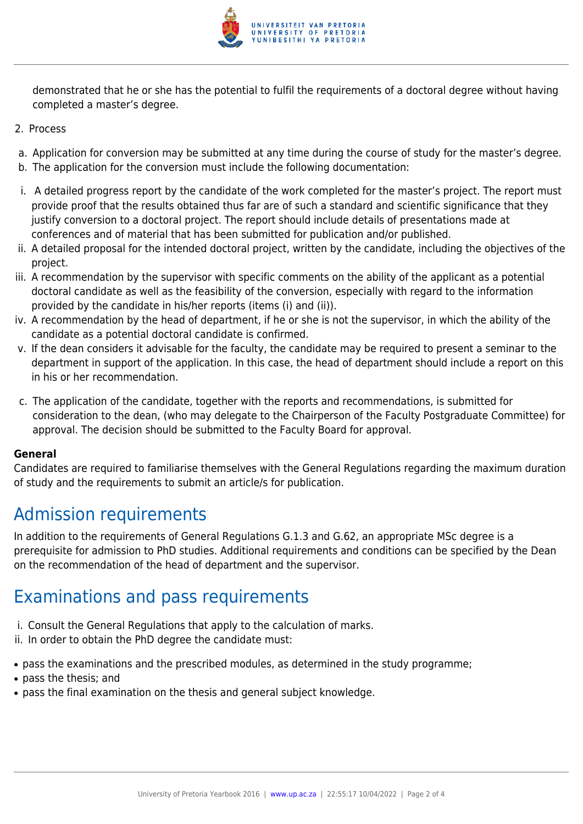

demonstrated that he or she has the potential to fulfil the requirements of a doctoral degree without having completed a master's degree.

- 2. Process
- a. Application for conversion may be submitted at any time during the course of study for the master's degree.
- b. The application for the conversion must include the following documentation:
- i. A detailed progress report by the candidate of the work completed for the master's project. The report must provide proof that the results obtained thus far are of such a standard and scientific significance that they justify conversion to a doctoral project. The report should include details of presentations made at conferences and of material that has been submitted for publication and/or published.
- ii. A detailed proposal for the intended doctoral project, written by the candidate, including the objectives of the project.
- iii. A recommendation by the supervisor with specific comments on the ability of the applicant as a potential doctoral candidate as well as the feasibility of the conversion, especially with regard to the information provided by the candidate in his/her reports (items (i) and (ii)).
- iv. A recommendation by the head of department, if he or she is not the supervisor, in which the ability of the candidate as a potential doctoral candidate is confirmed.
- v. If the dean considers it advisable for the faculty, the candidate may be required to present a seminar to the department in support of the application. In this case, the head of department should include a report on this in his or her recommendation.
- c. The application of the candidate, together with the reports and recommendations, is submitted for consideration to the dean, (who may delegate to the Chairperson of the Faculty Postgraduate Committee) for approval. The decision should be submitted to the Faculty Board for approval.

#### **General**

Candidates are required to familiarise themselves with the General Regulations regarding the maximum duration of study and the requirements to submit an article/s for publication.

# Admission requirements

In addition to the requirements of General Regulations G.1.3 and G.62, an appropriate MSc degree is a prerequisite for admission to PhD studies. Additional requirements and conditions can be specified by the Dean on the recommendation of the head of department and the supervisor.

## Examinations and pass requirements

- i. Consult the General Regulations that apply to the calculation of marks.
- ii. In order to obtain the PhD degree the candidate must:
- pass the examinations and the prescribed modules, as determined in the study programme;
- pass the thesis; and
- pass the final examination on the thesis and general subject knowledge.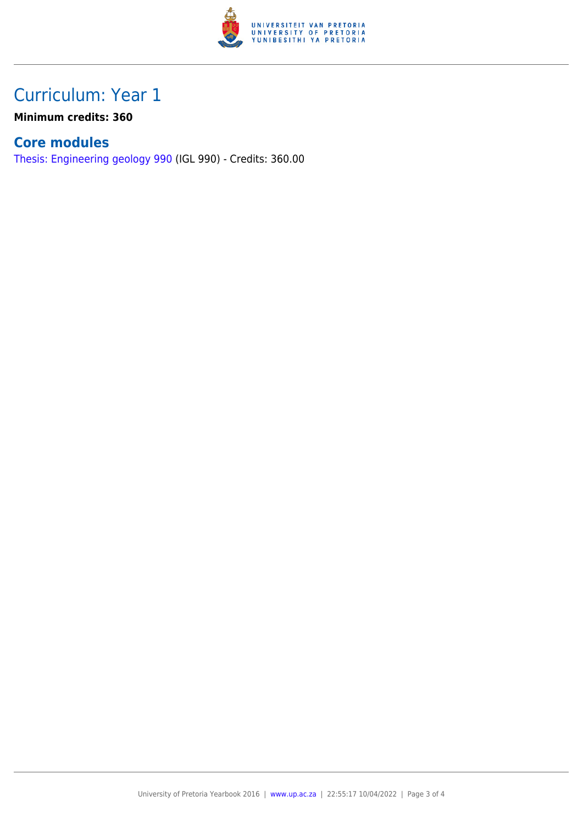

## Curriculum: Year 1

**Minimum credits: 360**

### **Core modules**

[Thesis: Engineering geology 990](https://www.up.ac.za/faculty-of-education/yearbooks/2016/modules/view/IGL 990) (IGL 990) - Credits: 360.00